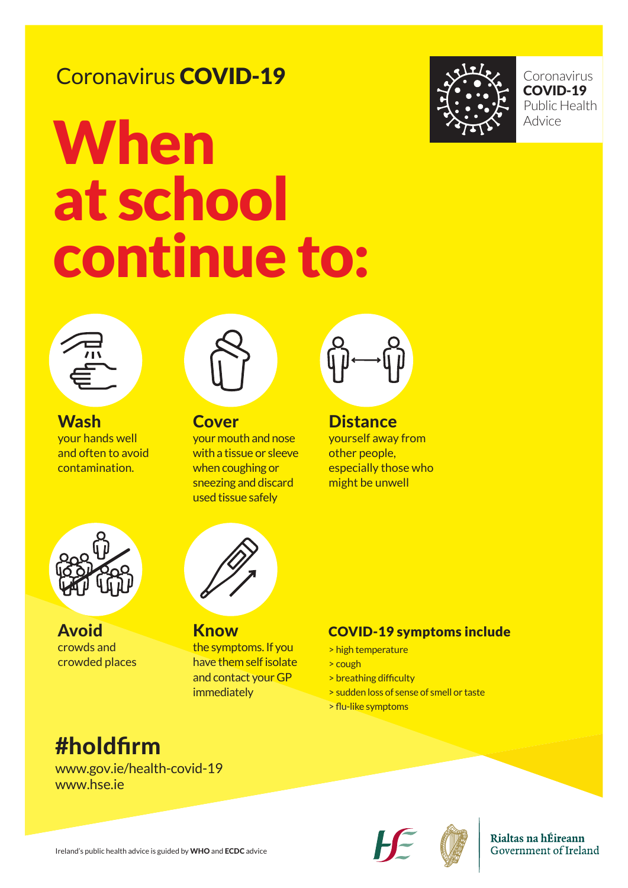Coronavirus COVID-19 Public Health Advice



# **When** at school continue to:



## Coronavirus COVID-19

Ireland's public health advice is guided by WHO and ECDC advice



#### Rialtas na hÉireann Government of Ireland

**Wash** your hands well and often to avoid contamination.



### #holdfirm

#### www.gov.ie/health-covid-19 www.hse.ie

**Cover** your mouth and nose with a tissue or sleeve when coughing or sneezing and discard used tissue safely



**Distance** yourself away from other people, especially those who might be unwell



**Know** the symptoms. If you have them self isolate

and contact your GP immediately

### COVID-19 symptoms include

> high temperature > cough

> breathing difficulty > sudden loss of sense of smell or taste > flu-like symptoms

Avoid crowds and crowded places